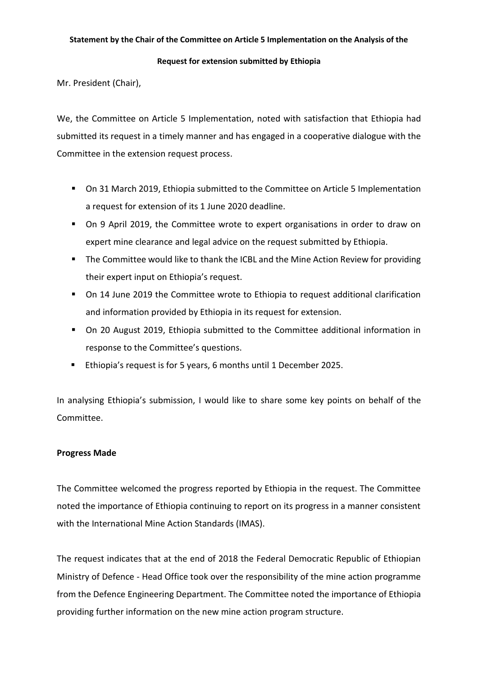### **Statement by the Chair of the Committee on Article 5 Implementation on the Analysis of the**

#### **Request for extension submitted by Ethiopia**

Mr. President (Chair),

We, the Committee on Article 5 Implementation, noted with satisfaction that Ethiopia had submitted its request in a timely manner and has engaged in a cooperative dialogue with the Committee in the extension request process.

- On 31 March 2019, Ethiopia submitted to the Committee on Article 5 Implementation a request for extension of its 1 June 2020 deadline.
- On 9 April 2019, the Committee wrote to expert organisations in order to draw on expert mine clearance and legal advice on the request submitted by Ethiopia.
- The Committee would like to thank the ICBL and the Mine Action Review for providing their expert input on Ethiopia's request.
- On 14 June 2019 the Committee wrote to Ethiopia to request additional clarification and information provided by Ethiopia in its request for extension.
- On 20 August 2019, Ethiopia submitted to the Committee additional information in response to the Committee's questions.
- Ethiopia's request is for 5 years, 6 months until 1 December 2025.

In analysing Ethiopia's submission, I would like to share some key points on behalf of the Committee.

# **Progress Made**

The Committee welcomed the progress reported by Ethiopia in the request. The Committee noted the importance of Ethiopia continuing to report on its progress in a manner consistent with the International Mine Action Standards (IMAS).

The request indicates that at the end of 2018 the Federal Democratic Republic of Ethiopian Ministry of Defence - Head Office took over the responsibility of the mine action programme from the Defence Engineering Department. The Committee noted the importance of Ethiopia providing further information on the new mine action program structure.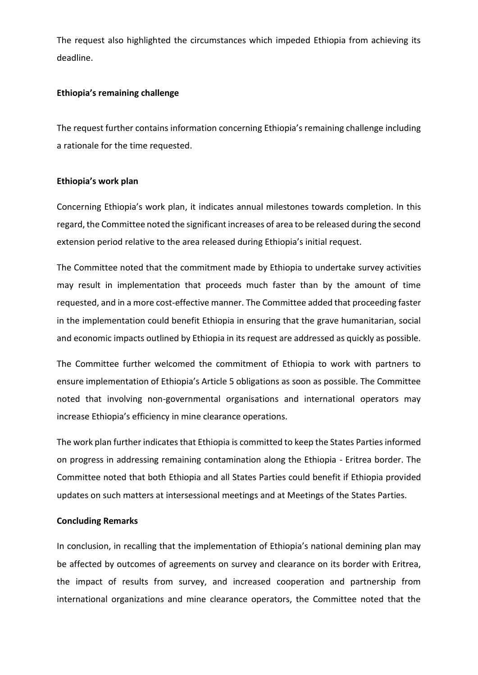The request also highlighted the circumstances which impeded Ethiopia from achieving its deadline.

## **Ethiopia's remaining challenge**

The request further contains information concerning Ethiopia's remaining challenge including a rationale for the time requested.

# **Ethiopia's work plan**

Concerning Ethiopia's work plan, it indicates annual milestones towards completion. In this regard, the Committee noted the significant increases of area to be released during the second extension period relative to the area released during Ethiopia's initial request.

The Committee noted that the commitment made by Ethiopia to undertake survey activities may result in implementation that proceeds much faster than by the amount of time requested, and in a more cost-effective manner. The Committee added that proceeding faster in the implementation could benefit Ethiopia in ensuring that the grave humanitarian, social and economic impacts outlined by Ethiopia in its request are addressed as quickly as possible.

The Committee further welcomed the commitment of Ethiopia to work with partners to ensure implementation of Ethiopia's Article 5 obligations as soon as possible. The Committee noted that involving non-governmental organisations and international operators may increase Ethiopia's efficiency in mine clearance operations.

The work plan further indicates that Ethiopia is committed to keep the States Parties informed on progress in addressing remaining contamination along the Ethiopia - Eritrea border. The Committee noted that both Ethiopia and all States Parties could benefit if Ethiopia provided updates on such matters at intersessional meetings and at Meetings of the States Parties.

# **Concluding Remarks**

In conclusion, in recalling that the implementation of Ethiopia's national demining plan may be affected by outcomes of agreements on survey and clearance on its border with Eritrea, the impact of results from survey, and increased cooperation and partnership from international organizations and mine clearance operators, the Committee noted that the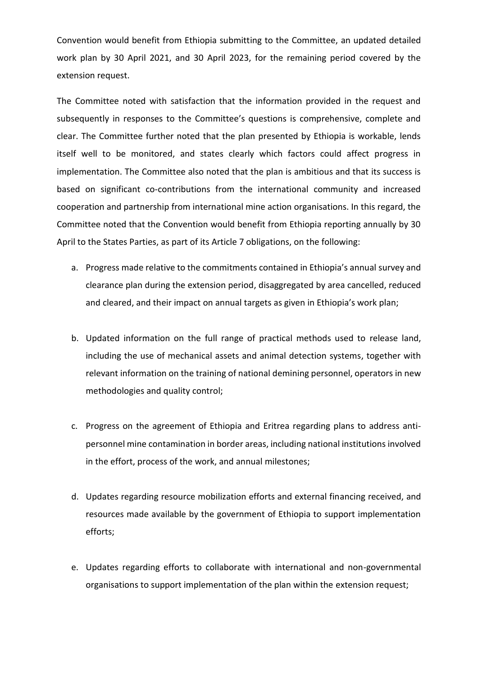Convention would benefit from Ethiopia submitting to the Committee, an updated detailed work plan by 30 April 2021, and 30 April 2023, for the remaining period covered by the extension request.

The Committee noted with satisfaction that the information provided in the request and subsequently in responses to the Committee's questions is comprehensive, complete and clear. The Committee further noted that the plan presented by Ethiopia is workable, lends itself well to be monitored, and states clearly which factors could affect progress in implementation. The Committee also noted that the plan is ambitious and that its success is based on significant co-contributions from the international community and increased cooperation and partnership from international mine action organisations. In this regard, the Committee noted that the Convention would benefit from Ethiopia reporting annually by 30 April to the States Parties, as part of its Article 7 obligations, on the following:

- a. Progress made relative to the commitments contained in Ethiopia's annual survey and clearance plan during the extension period, disaggregated by area cancelled, reduced and cleared, and their impact on annual targets as given in Ethiopia's work plan;
- b. Updated information on the full range of practical methods used to release land, including the use of mechanical assets and animal detection systems, together with relevant information on the training of national demining personnel, operators in new methodologies and quality control;
- c. Progress on the agreement of Ethiopia and Eritrea regarding plans to address antipersonnel mine contamination in border areas, including national institutions involved in the effort, process of the work, and annual milestones;
- d. Updates regarding resource mobilization efforts and external financing received, and resources made available by the government of Ethiopia to support implementation efforts;
- e. Updates regarding efforts to collaborate with international and non-governmental organisations to support implementation of the plan within the extension request;